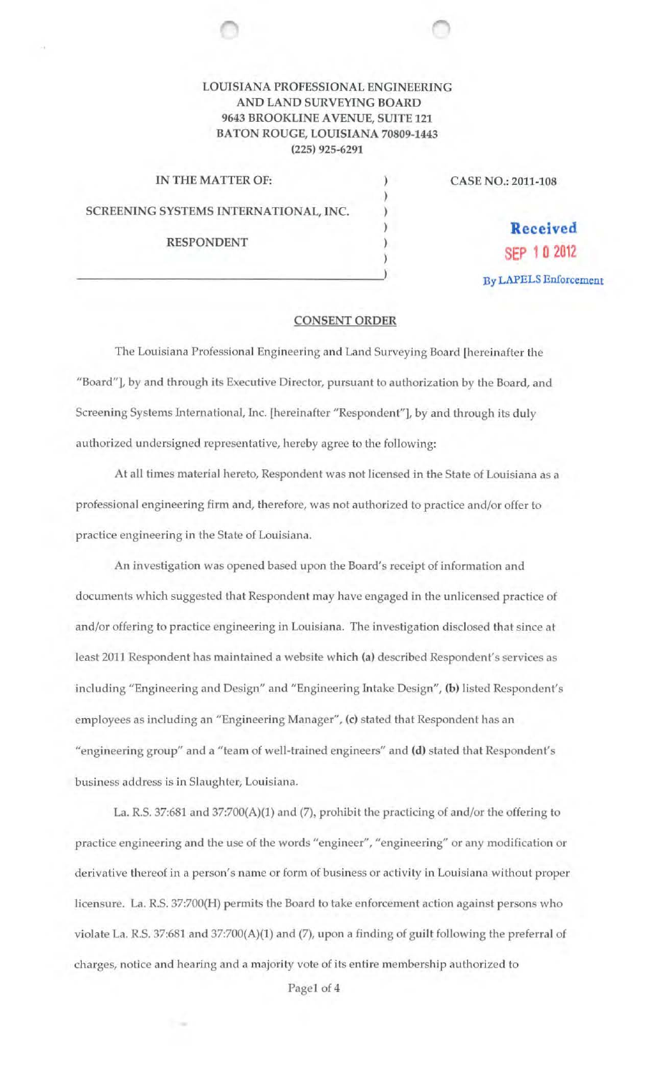## LOUISIANA PROFESSIONAL ENGINEERING AND LAND SURVEYING BOARD 9643 BROOKLINE A VENUE, SUITE 121 BATON ROUGE, LOUISIANA 70809-1443 (225) 925-6291

| IN THE MATTER OF:                     |  | CASE NO.: 2011-108           |
|---------------------------------------|--|------------------------------|
|                                       |  |                              |
| SCREENING SYSTEMS INTERNATIONAL, INC. |  |                              |
|                                       |  | Received                     |
| <b>RESPONDENT</b>                     |  | SFP 10 2012                  |
|                                       |  |                              |
|                                       |  | <b>By LAPELS Enforcement</b> |

## CONSENT ORDER

The Louisiana Professional Engineering and Land Surveying Board [hereinafter the "Board"], by and through its Executive Director, pursuant to authorization by the Board, and Screening Systems International, Inc. [hereinafter "Respondent"], by and through its duly authorized undersigned representative, hereby agree to the following:

At all times material hereto, Respondent was not licensed in the State of Louisiana as a professional engineering firm and, therefore, was not authorized to practice and/or offer to practice engineering in the State of Louisiana.

An investigation was opened based upon the Board's receipt of information and documents which suggested that Respondent may have engaged in the unlicensed practice of and/or offering to practice engineering in Louisiana. The investigation disclosed that since at least 2011 Respondent has maintained a website which (a) described Respondent's services as including "Engineering and Design" and "Engineering Intake Design", (b) listed Respondent's employees as including an "Engineering Manager", (c) stated that Respondent has an "engineering group" and a "team of well-trained engineers" and (d) stated that Respondent's business address is in Slaughter, Louisiana.

La. R.S. 37:681 and 37:700(A)(1) and (7), prohibit the practicing of and/or the offering to practice engineering and the use of the words "engineer", "engineering" or any modification or derivative thereof in a person's name or form of business or activity in Louisiana without proper licensure. La. R.S. 37:700(H) permits the Board to take enforcement action against persons who violate La. R.S. 37:681 and 37:700(A)(1) and (7), upon a finding of guilt following the preferral of charges, notice and hearing and a majority vote of its entire membership authorized to

Page1 of 4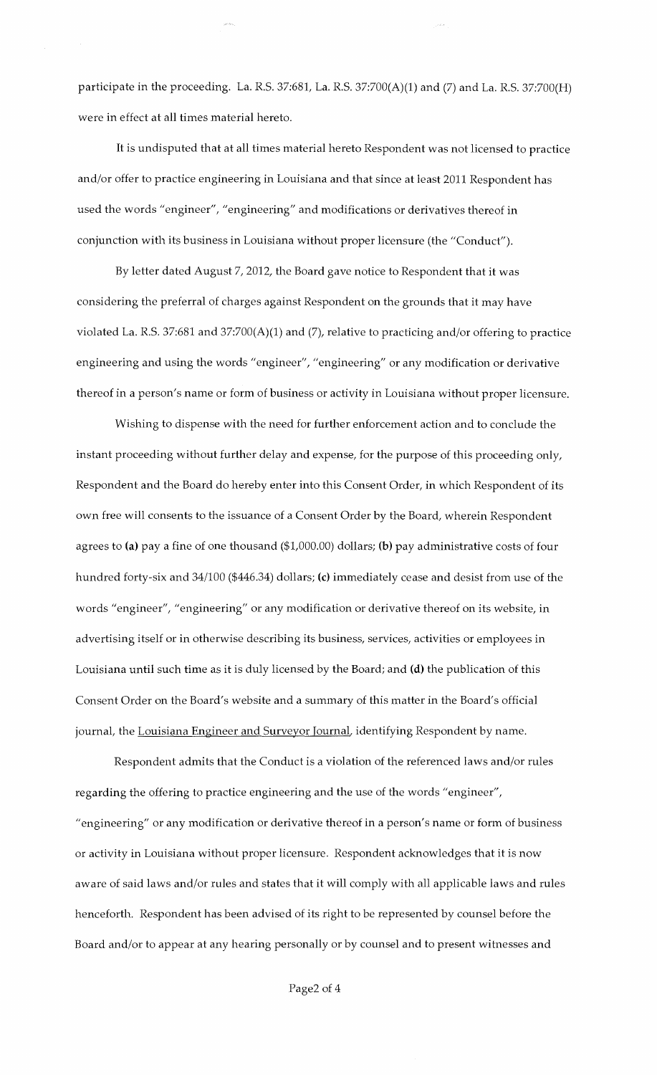participate in the proceeding. La. R.S. 37:681, La. R.S. 37:700(A)(1) and (7) and La. R.S. 37:700(H) were in effect at all times material hereto.

It is undisputed that at all times material hereto Respondent was not licensed to practice and/or offer to practice engineering in Louisiana and that since at least 2011 Respondent has used the words "engineer", "engineering" and modifications or derivatives thereof in conjunction with its business in Louisiana without proper licensure (the "Conduct").

By letter dated August 7, 2012, the Board gave notice to Respondent that it was considering the preferral of charges against Respondent on the grounds that it may have violated La. R.S. 37:681 and 37:700(A)(1) and (7), relative to practicing and/or offering to practice engineering and using the words "engineer", "engineering" or any modification or derivative thereof in a person's name or form of business or activity in Louisiana without proper licensure.

Wishing to dispense with the need for further enforcement action and to conclude the instant proceeding without further delay and expense, for the purpose of this proceeding only, Respondent and the Board do hereby enter into this Consent Order, in which Respondent of its own free will consents to the issuance of a Consent Order by the Board, wherein Respondent agrees to (a) pay a fine of one thousand (\$1,000.00) dollars; (b) pay administrative costs of four hundred forty-six and 34/100 (\$446.34) dollars; (c) immediately cease and desist from use of the words "engineer", "engineering" or any modification or derivative thereof on its website, in advertising itself or in otherwise describing its business, services, activities or employees in Louisiana until such time as it is duly licensed by the Board; and (d) the publication of this Consent Order on the Board's website and a summary of this matter in the Board's official journal, the Louisiana Engineer and Surveyor Journal, identifying Respondent by name.

Respondent admits that the Conduct is a violation of the referenced laws and/or rules regarding the offering to practice engineering and the use of the words "engineer", "engineering" or any modification or derivative thereof in a person's name or form of business or activity in Louisiana without proper licensure. Respondent acknowledges that it is now aware of said laws and/or rules and states that it will comply with all applicable laws and rules henceforth. Respondent has been advised of its right to be represented by counsel before the Board and/or to appear at any hearing personally or by counsel and to present witnesses and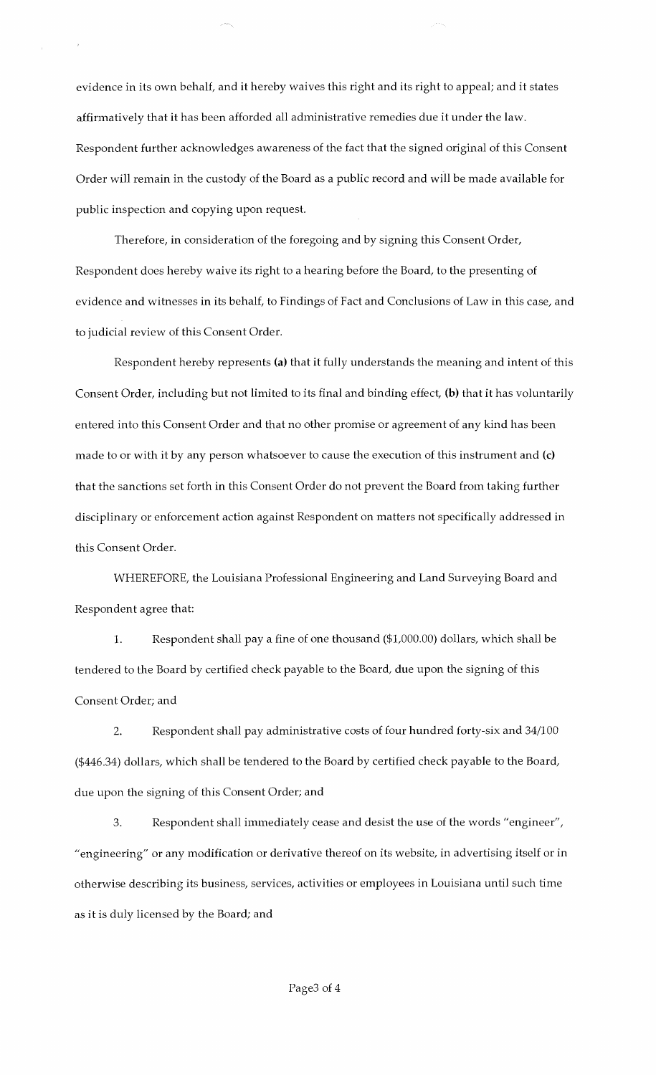evidence in its own behalf, and it hereby waives this right and its right to appeal; and it states affirmatively that it has been afforded all administrative remedies due it under the law. Respondent further acknowledges awareness of the fact that the signed original of this Consent Order will remain in the custody of the Board as a public record and will be made available for public inspection and copying upon request.

Therefore, in consideration of the foregoing and by signing this Consent Order, Respondent does hereby waive its right to a hearing before the Board, to the presenting of evidence and witnesses in its behalf, to Findings of Fact and Conclusions of Law in this case, and to judicial review of this Consent Order.

Respondent hereby represents (a) that it fully understands the meaning and intent of this Consent Order, including but not limited to its final and binding effect, (b) that it has voluntarily entered into this Consent Order and that no other promise or agreement of any kind has been made to or with it by any person whatsoever to cause the execution of this instrument and (c) that the sanctions set forth in this Consent Order do not prevent the Board from taking further disciplinary or enforcement action against Respondent on matters not specifically addressed in this Consent Order.

WHEREFORE, the Louisiana Professional Engineering and Land Surveying Board and Respondent agree that:

1. Respondent shall pay a fine of one thousand (\$1,000.00) dollars, which shall be tendered to the Board by certified check payable to the Board, due upon the signing of this Consent Order; and

2. Respondent shall pay administrative costs of four hundred forty-six and 34/100 (\$446.34) dollars, which shall be tendered to the Board by certified check payable to the Board, due upon the signing of this Consent Order; and

3. Respondent shall immediately cease and desist the use of the words "engineer", "engineering" or any modification or derivative thereof on its website, in advertising itself or in otherwise describing its business, services, activities or employees in Louisiana until such time as it is duly licensed by the Board; and